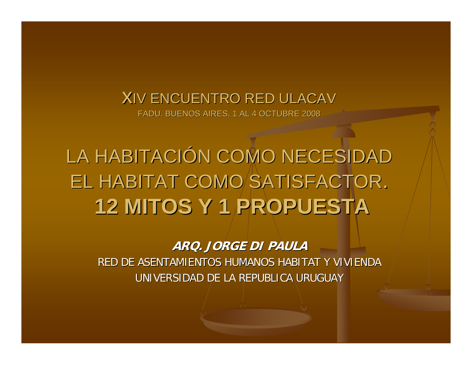# **X**IV ENCUENTRO RED ULACAV

FADU. BUENOS AIRES, 1 AL 4 OCTUBRE 2008

LA HABITACIÓN COMO NECESIDAD EL HABITAT COMO SATISFACTOR. **12 MITOS Y 1 PROPUESTA 12 MITOS Y 1 PROPUESTA**

**ARQ. JORGE DI PAULA ARQ. JORGE DI PAULA**

RED DE ASENTAMIENTOS HUMANOS HABITAT Y VIVIENDA RED DE ASENTAMIENTOS HUMANOS HABITAT Y VIVIENDA UNIVERSIDAD DE LA REPUBLICA URUGUAY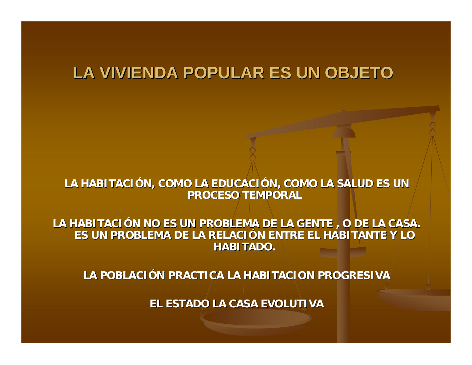#### **LA VIVIENDA POPULAR ES UN OBJETO LA VIVIENDA POPULAR ES UN OBJETO**

LA HABITACIÓN, COMO LA EDUCACIÓN, COMO LA SALUD ES UN **PROCESO TEMPORAL PROCESO TEMPORAL** 

LA HABITACIÓN NO ES UN PROBLEMA DE LA GENTE , O DE LA CASA. **ES UN PROBLEMA DE LA RELACI ES UN PROBLEMA DE LA RELACI ÓN ENTRE EL HABITANTE Y LO N ENTRE EL HABITANTE Y LO HABITADO. HABITADO.** 

**LA POBLACI LA POBLACIÓN PRACTICA LA HABITACION PROGRESIVA N PRACTICA LA HABITACION PROGRESIVA**

**EL ESTADO LA CASA EVOLUTIVA EL ESTADO LA CASA EVOLUTIVA**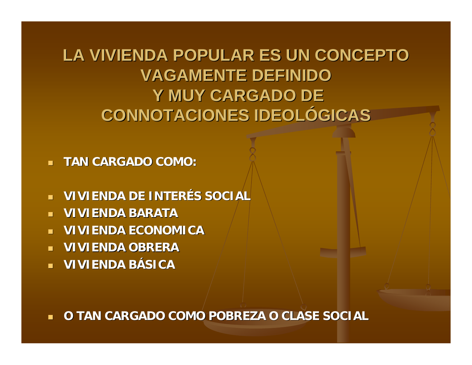## **LA VIVIENDA POPULAR ES UN CONCEPTO LA VIVIENDA POPULAR ES UN CONCEPTO VAGAMENTE DEFINIDO VAGAMENTE DEFINIDO**Y MUY CARGADO DE **CONNOTACIONES IDEOL CONNOTACIONES IDEOLÓGICAS**

**TAN CARGADO COMO: TAN CARGADO COMO:**

- **VIVIENDA DE INTERÉS SOCIAL**
- $\overline{\phantom{0}}$ **VIVIENDA BARATA VIVIENDA BARATA**
- $\mathbb{R}^2$ **VIVIENDA ECONOMICA VIVIENDA ECONOMICA**
- **VIVIENDA OBRERA VIVIENDA OBRERA**
- **VIVIENDA B VIVIENDA BÁSICA**

 $\overline{\phantom{0}}$ **O TAN CARGADO COMO POBREZA O CLASE SOCIAL O TAN CARGADO COMO POBREZA O CLASE SOCIAL**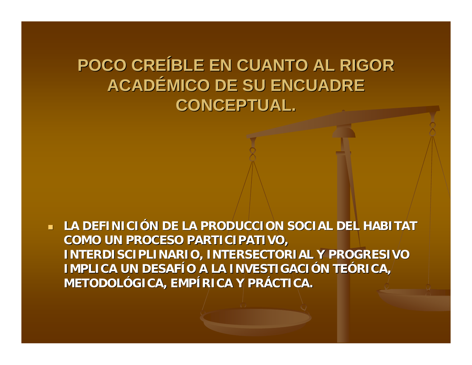# **POCO CRE POCO CREÍBLE EN CUANTO AL RIGOR BLE EN CUANTO AL RIGOR ACADÉMICO DE SU ENCUADRE CONCEPTUAL. CONCEPTUAL.**

**LA DEFINICIÓN DE LA PRODUCCION SOCIAL DEL HABITAT COMO UN PROCESO PARTICIPATIVO, COMO UN PROCESO PARTICIPATIVO, INTERDISCIPLINARIO, INTERSECTORIAL Y PROGRESIVO INTERDISCIPLINARIO, INTERSECTORIAL Y PROGRESIVO IMPLICA UN DESAF IMPLICA UN DESAFÍO A LA INVESTIGACI O A LA INVESTIGACIÓN TEÓRICA, METODOL METODOLÓGICA, EMP GICA, EMPÍRICA Y PR RICA Y PRÁCTICA.**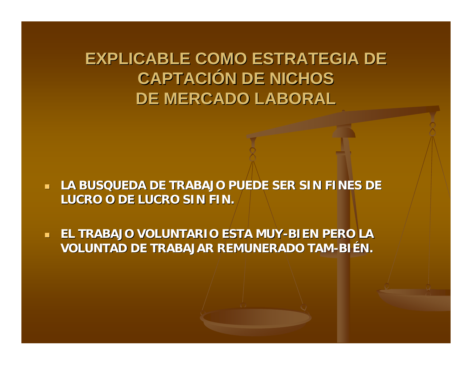### **EXPLICABLE COMO ESTRATEGIA DE CAPTACIÓN DE NICHOS DE MERCADO LABORAL DE MERCADO LABORAL**

- $\mathcal{A}$ LA BUSQUEDA DE TRABAJO PUEDE SER SIN FINES DE **LUCRO O DE LUCRO SIN FIN. LUCRO O DE LUCRO SIN FIN.**
- $\blacksquare$ **EL TRABAJO VOLUNTARIO ESTA MUY-BIEN PERO LA VOLUNTAD DE TRABAJAR REMUNERADO TAM-BI ÉN.**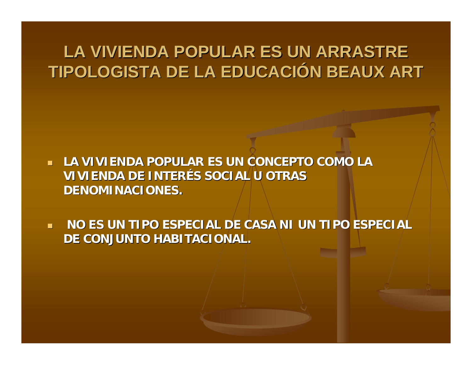## LA VIVIENDA POPULAR ES UN ARRASTRE **TIPOLOGISTA DE LA EDUCACIÓN BEAUX ART**

- **LA VIVIENDA POPULAR ES UN CONCEPTO COMO LA LA VIVIENDA POPULAR ES UN CONCEPTO COMO LA VIVIENDA DE INTERÉS SOCIAL U OTRAS DENOMINACIONES. DENOMINACIONES.**
- $\blacksquare$ **NO ES UN TIPO ESPECIAL DE CASA NI UN TIPO ESPECIAL DE CONJUNTO HABITACIONAL. DE CONJUNTO HABITACIONAL.**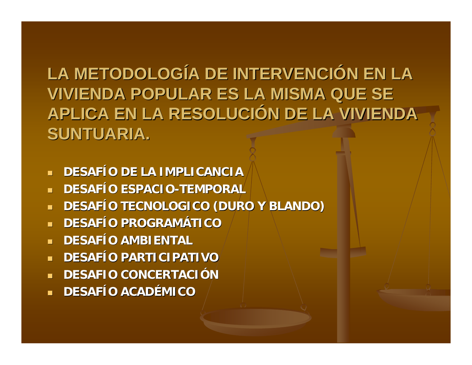LA METODOLOGÍA DE INTERVENCIÓN EN LA **VIVIENDA POPULAR ES LA MISMA QUE SE APLICA EN LA RESOLUCIÓN DE LA VIVIENDA SUNTUARIA. SUNTUARIA.**

- $\mathbf{u}$  . **DESAFÍO DE LA IMPLICANCIA**
- m. **DESAFÍO ESPACIO-TEMPORAL**
- $\blacksquare$ **DESAFÍO TECNOLOGICO (DURO Y BLANDO)**
- m. **DESAFÍO PROGRAMÁTICO**
- m. **DESAFÍO AMBIENTAL**
- m. **DESAFÍO PARTICIPATIVO**
- m. **DESAFIO CONCERTACI DESAFIO CONCERTACIÓN**
- m. **DESAFÍO ACADÉMICO**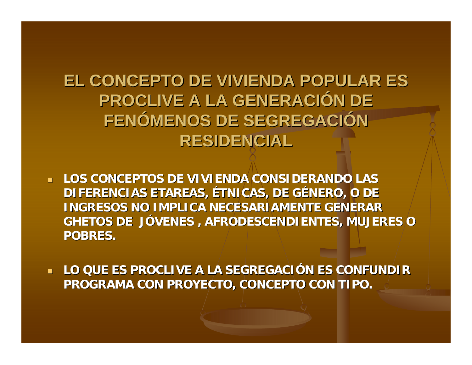**EL CONCEPTO DE VIVIENDA POPULAR ES PROCLIVE A LA GENERACIÓN DE** FENÓMENOS DE SEGREGACIÓN **RESIDENCIAL** 

- **LOS CONCEPTOS DE VIVIENDA CONSIDERANDO LAS LOS CONCEPTOS DE VIVIENDA CONSIDERANDO LAS**  DIFERENCIAS ETAREAS, ÉTNICAS, DE GÉNERO, O DE **INGRESOS NO IMPLICA NECESARIAMENTE GENERAR GHETOS DE J GHETOS DE J ÓVENES , AFRODESCENDIENTES, MUJERES O VENES , AFRODESCENDIENTES, MUJERES O POBRES. POBRES.**
- **LO QUE ES PROCLIVE A LA SEGREGACIÓN ES CONFUNDIR PROGRAMA CON PROYECTO, CONCEPTO CON TIPO. PROGRAMA CON PROYECTO, CONCEPTO CON TIPO.**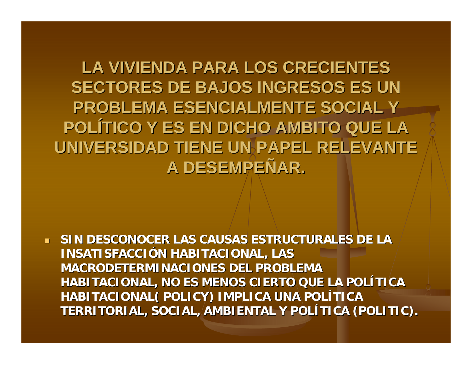LA VIVIENDA PARA LOS CRECIENTES **SECTORES DE BAJOS INGRESOS ES UN PROBLEMA ESENCIALMENTE SOCIAL Y POL ÍTICO Y ES EN DICHO AMBITO QUE LA TICO Y ES EN DICHO AMBITO QUE LA**  UNIVERSIDAD TIENE UN PAPEL RELEVANTE **A DESEMPE A DESEMPEÑAR.** 

 $\mathcal{A}$  **SIN DESCONOCER LAS CAUSAS ESTRUCTURALES DE LA SIN DESCONOCER LAS CAUSAS ESTRUCTURALES DE LA INSATISFACCI INSATISFACCIÓN HABITACIONAL, LAS N HABITACIONAL, LAS MACRODETERMINACIONES DEL PROBLEMA MACRODETERMINACIONES DEL PROBLEMA HABITACIONAL, NO ES MENOS CIERTO QUE LA POLÍTICA HABITACIONAL( POLICY) IMPLICA UNA POLÍTICA TERRITORIAL, SOCIAL, AMBIENTAL Y POL TERRITORIAL, SOCIAL, AMBIENTAL Y POLÍTICA (POLITIC). TICA (POLITIC).**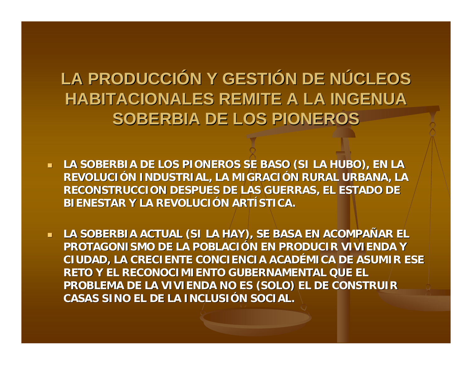# **LA PRODUCCIÓN Y GESTIÓN DE NÚCLEOS HABITACIONALES REMITE A LA INGENUA HABITACIONALES REMITE A LA INGENUA SOBERBIA DE LOS PIONEROS SOBERBIA DE LOS PIONEROS**

- **LA SOBERBIA DE LOS PIONEROS SE BASO (SI LA HUBO), EN LA REVOLUCI REVOLUCIÓN INDUSTRIAL, LA MIGRACI N INDUSTRIAL, LA MIGRACIÓN RURAL URBANA, LA N RURAL URBANA, LA RECONSTRUCCION DESPUES DE LAS GUERRAS, EL ESTADO DE RECONSTRUCCION DESPUES DE LAS GUERRAS, EL ESTADO DE BIENESTAR Y LA REVOLUCI BIENESTAR Y LA REVOLUCIÓN ARTÍSTICA.**
- **LA SOBER LA SOBERBIA ACTUAL (SI LA BIA ACTUAL (SI LA HAY), SE BASA EN ACOMPA HAY), SE BASA EN ACOMPAÑAR EL**  PROTAGONISMO DE LA POBLACIÓN EN PRODUCIR VIVIENDA Y **CIUDAD, LA CRECIENTE CONCIENCIA ACADÉMICA DE ASUMIR ESE RETO Y EL RECONOCIMIENTO GUBERNAMENTAL QUE EL RETO Y EL RECONOCIMIENTO GUBERNAMENTAL QUE EL PROBLEMA DE LA VIVIENDA NO ES (SOLO) EL DE CONSTRUIR CASAS SINO EL DE LA INCLUSI CASAS SINO EL DE LA INCLUSIÓN SOCIAL. N SOCIAL.**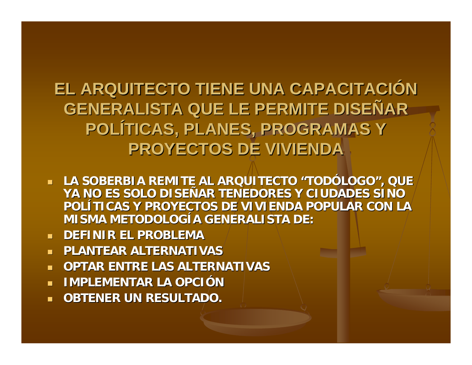# **EL ARQUITECTO TIENE UNA CAPACITACIÓN GENERALISTA QUE LE PERMITE DISE GENERALISTA QUE LE PERMITE DISE ÑAR** POLÍTICAS, PLANES, PROGRAMAS Y **PROYECTOS DE VIVIENDA PROYECTOS DE VIVIENDA**

- **LA SOBERBIA REMITE AL ARQUITECTO "TODÓLOGO", QUE** YA NO ES SOLO DISEÑAR TENEDORES Y CIUDADES SINO POLÍTICAS Y PROYECTOS DE VIVIENDA POPULAR CON LA **MISMA METODOLOGÍA GENERALISTA DE:**
- $\mathcal{A}$ **DEFINIR EL PROBLEMA DEFINIR EL PROBLEMA**
- **PLANTEAR ALTERNATIVAS PLANTEAR ALTERNATIVAS**
- m. **OPTAR ENTRE LAS ALTERNATIVAS OPTAR ENTRE LAS ALTERNATIVAS**
- m. **IMPLEMENTAR LA OPCI IMPLEMENTAR LA OPCI ÓN**

 $\mathcal{L}$ **OBTENER UN RESULTADO.**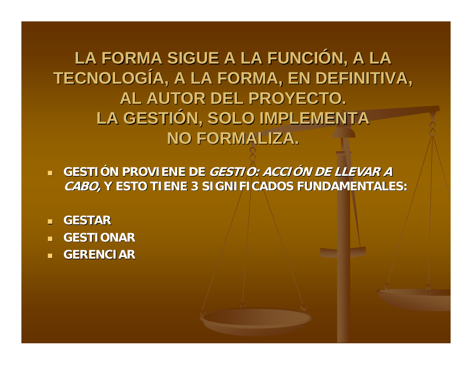LA FORMA SIGUE A LA FUNCIÓN, A LA TECNOLOGÍA, A LA FORMA, EN DEFINITIVA, **AL AUTOR DEL PROYECTO.** LA GESTIÓN, SOLO IMPLEMENTA **NO FORMALIZA.** 

**GESTIÓN PROVIENE DE** *GESTIO: ACCIÓN DE LLEVAR A* **CABO, Y ESTO TIENE 3 SIGNIFICADOS FUNDAMENTALES: Y ESTO TIENE 3 SIGNIFICADOS FUNDAMENTALES:**

- **GESTAR**
- **GESTIONAR GESTIONAR**
- **GERENCIAR GERENCIAR**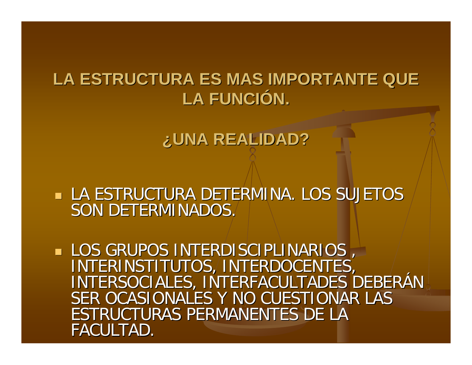#### LA ESTRUCTURA ES MAS IMPORTANTE QUE LA FUNCIÓN.

**¿UNA REALIDAD? UNA REALIDAD?**

 LA ESTRUCTURA DETERMINA. LOS SUJETOS LA ESTRUCTURA DETERMINA. LOS SUJETOS SON DETERMINADOS.

LOS GRUPOS INTERDISCIPLINARIOS, INTERINSTITUTOS, INTERDOCENTES, INTERSOCIALES, INTERFACULTADES DEBERÁN | SER OCASIONALES Y NO CUESTIONAR LAST ESTRUCTURAS PERMANENTES DE LA FACULTAD.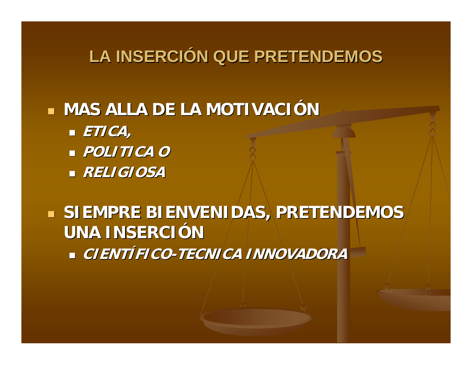# **LA INSERCIÓN QUE PRETENDEMOS**

#### **MAS ALLA DE LA MOTIVACIÓN**

- **ETICA,**
- **POLITICA O POLITICA O**
- **RELIGIOSA RELIGIOSA**

#### **SIEMPRE BIENVENIDAS, PRETENDEMOS UNA INSERCI UNA INSERCIÓN • CIENTÍFICO-TECNICA INNOVADORA**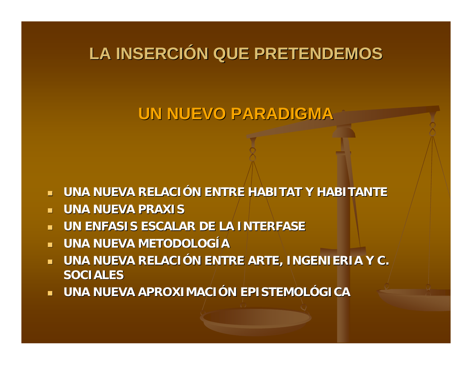# **LA INSERCIÓN QUE PRETENDEMOS**

### **UN NUEVO PARADIGMA UN NUEVO PARADIGMA**

- $\mathbf{H}^{\mathrm{c}}$ **UNA NUEVA RELACIÓN ENTRE HABITAT Y HABITANTE**
- $\mathcal{A}$ **UNA NUEVA PRAXIS UNA NUEVA PRAXIS**
- $\mathcal{A}$ **UN ENFASIS ESCALAR DE LA INTERFASE**
- **UNA NUEVA METODOLOG UNA NUEVA METODOLOGÍA**
- **\_ UNA NUEVA RELACIÓN ENTRE ARTE, INGENIERIA Y C.**  $\blacksquare$ **SOCIALES SOCIALES**
- **UNA NUEVA APROXIMACI UNA NUEVA APROXIMACIÓN EPISTEMOL N EPISTEMOLÓGICA**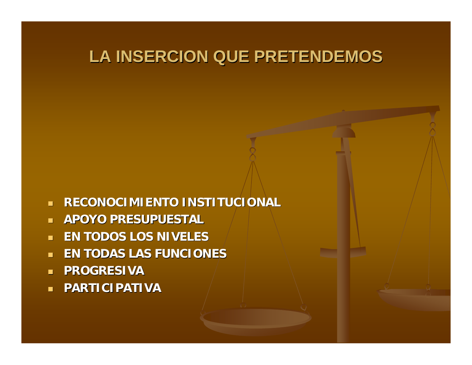### **LA INSERCION QUE PRETENDEMOS LA INSERCION QUE PRETENDEMOS**

- **RECONOCIMIENTO INSTITUCIONAL RECONOCIMIENTO INSTITUCIONAL**
- **APOYO PRESUPUESTAL APOYO PRESUPUESTAL**
- m. **EN TODOS LOS NIVELES EN TODOS LOS NIVELES**
- $\blacksquare$ **EN TODAS LAS FUNCIONES EN TODAS LAS FUNCIONES**
- **PROGRESIVA**
- **PARTICIPATIVA PARTICIPATIVA**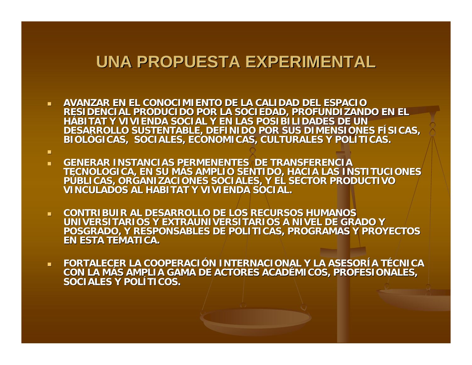#### **UNA PROPUESTA EXPERIMENTAL UNA PROPUESTA EXPERIMENTAL**

 **AVANZAR EN EL CONOCIMIENTO DE LA CALIDAD DEL ESPACIO AVANZAR EN EL CONOCIMIENTO DE LA CALIDAD DEL RESIDENCIAL PRODUCIDO POR LA SOCIEDAD, PROFUNDIZANDO EN EL HÁBITAT Y VIVIENDA SOCIAL Y EN LAS POSIBILIDADES DE UN LAS POSIBILIDADES DE UN DESARROLLO SUSTENTABLE, DEFINIDO POR SUS DIMENSIONES F DESARROLLO SUSTENTABLE, DEFINIDO POR SUS DIMENSIONES FÍSICAS, BIOL ÓGICAS, SOCIALES, ECONOMICAS, CULTURALES Y POL GICAS, SOCIALES, ECONOMICAS, CULTURALES Y POLÍTICAS.**

m.

- **COLLE GENERAR INSTANCIAS PER GENERAR INSTANCIAS PERMENENTES DE TRANSFERENCIA MENENTES DE TRANSFERENCIA TECNOLOGICA, EN SU M ÁS AMPLIO SENTIDO, HACIA LAS INSTITUCIONES S AMPLIO SENTIDO, HACIA LAS INSTITUCIONES P ÚBLICAS, ORGANIZACIONES SOCIALES, Y EL SECTOR PRODUCTIVO BLICAS, ORGANIZACIONES SOCIALES, Y EL SECTOR PRODUCTIVO VINCULADOS AL HABITAT Y VIVIENDA SOCIAL. VINCULADOS AL HABITAT Y VIVIENDA SOCIAL.**
- **CONTRIBUIR AL DESARROLLO DE LOS RECURSOS HUMANOS CONTRIBUIR AL DESARROLLO DE LOS RECURSOS HUMANOS UNIVERSITARIOS Y EXTRAUNIVERSITARIOS A N UNIVERSITARIOS Y EXTRAUNIVERSITARIOS A NIVEL DE GRADO Y IVEL DE GRADO Y POSGRADO, Y RESPONSABLES DE POLITICAS, PROGRAMAS Y PROYECTOS POSGRADO, Y RESPONSABLES DE POLITICAS, PROGRAMAS Y PROYECTOS EN ESTA TEMATICA. EN ESTA TEMATICA.**
- $\mathbf{r}$ **FORTALECER LA COOPERACIÓN INTERNACIONAL Y LA ASESORÍA TÉCNICA CON LA MÁS AMPLIA GAMA DE ACTORES ACADÉMICOS, PROFESIONALES, MICOS, PROFESIONALES, SOCIALES Y POL SOCIALES Y POLÍTICOS.**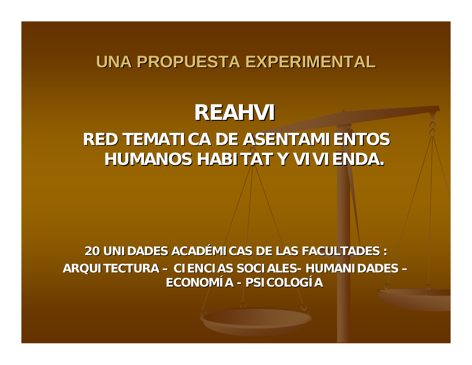#### **UNA PROPUESTA EXPERIMENTAL UNA PROPUESTA EXPERIMENTAL**

# **REAHVI**

#### **RED TEMATICA DE ASENTAMIENTOS RED TEMATICA DE ASENTAMIENTOS HUMANOS HABITAT Y VIVIENDA.**

#### **20 UNIDADES ACAD 20 UNIDADES ACAD ÉMICAS DE LAS FACULTADES : MICAS DE LAS FACULTADES : ARQUITECTURA ARQUITECTURA – CIENCIAS SOCIALES CIENCIAS SOCIALES- HUMANIDADES HUMANIDADES – ECONOMÍA - PSICOLOG PSICOLOGÍA**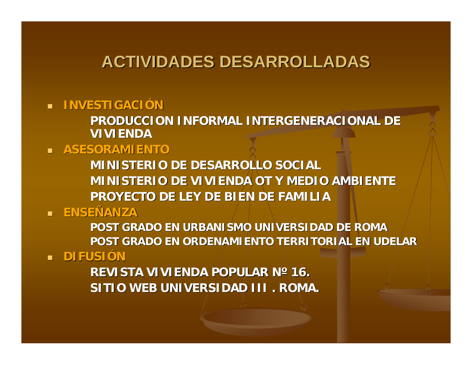#### **ACTIVIDADES DESARROLLADAS ACTIVIDADES DESARROLLADAS**

 $\blacksquare$  **INVESTIGACIÓN** 

**PRODUCCION INFORMAL INTERGENERACIONAL PRODUCCION INFORMAL INTERGENERACIONAL DE VIVIENDA VIVIENDA**

**ASESORAMIENTO ASESORAMIENTO**

**MINISTERIO DE DESARROLLO SOCIAL MINISTERIO DE DESARROLLO SOCIALMINISTERIO DE VIVIENDA OT Y MEDIO AMBIENTE MINISTERIO DE VIVIENDA OT Y MEDIO AMBIENTEPROYECTO DE LEY DE BIEN DE FAMILIA PROYECTO DE LEY DE BIEN DE FAMILIA**

**¤ ENSEÑANZA** 

**POST GRADO EN URBANISMO UNIVERSIDAD DE ROMA POST GRADO EN URBANISMO UNIVERSIDAD DE ROMA POST GRADO EN ORDENAMIENTO TERRITORIAL EN UDELAR POST GRADO EN ORDENAMIENTO TERRITORIAL EN UDELAR**

**LE DIFUSIÓN** 

 $R$ EVISTA VIVIENDA POPULAR N° 16. **SITIO WEB UNIVERSIDAD III . ROMA.**